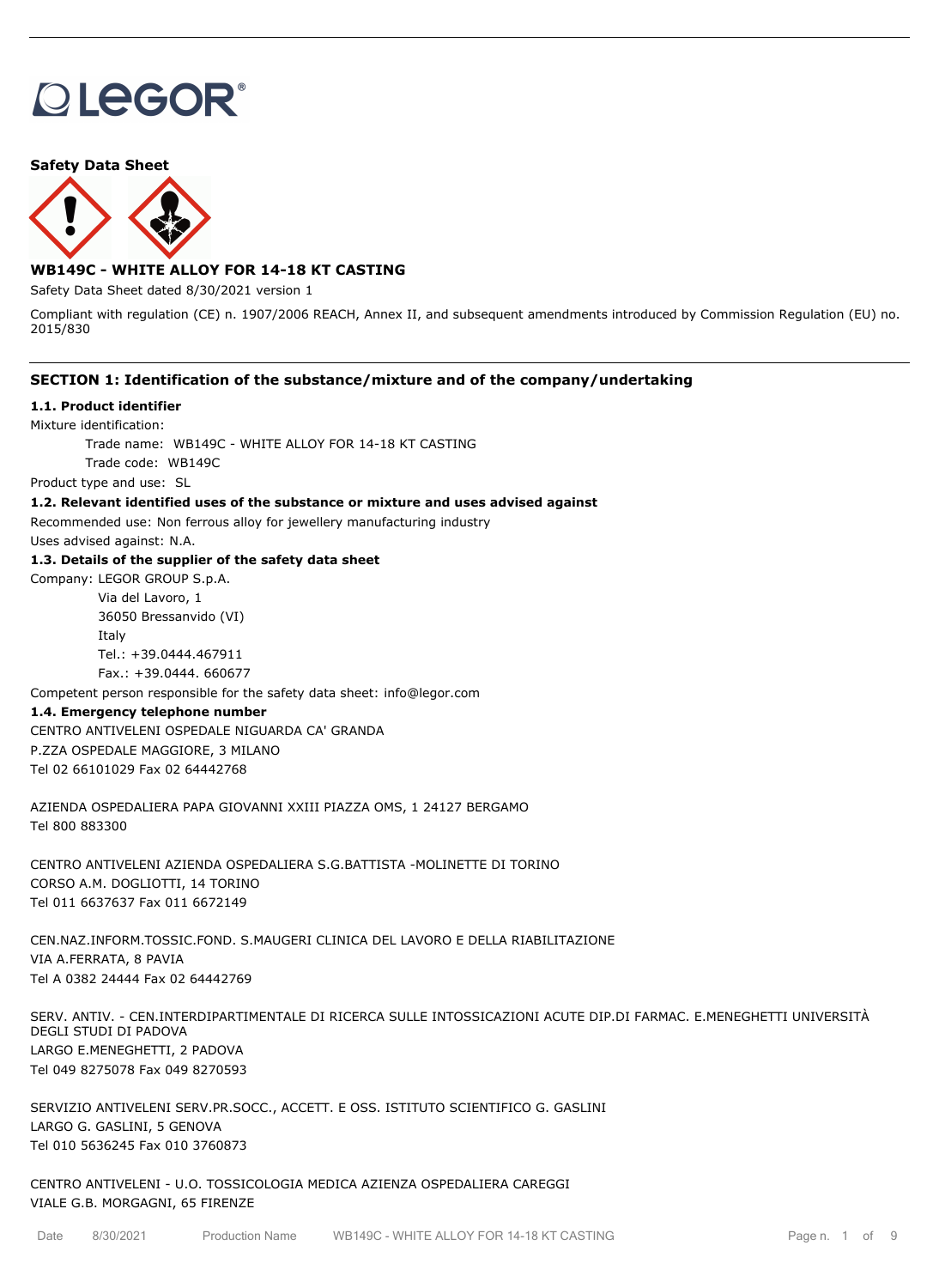# **OLEGOR®**

**Safety Data Sheet**



# **WB149C - WHITE ALLOY FOR 14-18 KT CASTING**

Safety Data Sheet dated 8/30/2021 version 1

Compliant with regulation (CE) n. 1907/2006 REACH, Annex II, and subsequent amendments introduced by Commission Regulation (EU) no. 2015/830

#### **SECTION 1: Identification of the substance/mixture and of the company/undertaking**

#### **1.1. Product identifier**

Mixture identification:

Trade name: WB149C - WHITE ALLOY FOR 14-18 KT CASTING

Trade code: WB149C

Product type and use: SL

#### **1.2. Relevant identified uses of the substance or mixture and uses advised against**

Recommended use: Non ferrous alloy for jewellery manufacturing industry

Uses advised against: N.A.

#### **1.3. Details of the supplier of the safety data sheet**

Company: LEGOR GROUP S.p.A. Via del Lavoro, 1

36050 Bressanvido (VI) Italy Tel.: +39.0444.467911 Fax.: +39.0444. 660677

Competent person responsible for the safety data sheet: info@legor.com

#### **1.4. Emergency telephone number**

CENTRO ANTIVELENI OSPEDALE NIGUARDA CA' GRANDA P.ZZA OSPEDALE MAGGIORE, 3 MILANO Tel 02 66101029 Fax 02 64442768

AZIENDA OSPEDALIERA PAPA GIOVANNI XXIII PIAZZA OMS, 1 24127 BERGAMO Tel 800 883300

CENTRO ANTIVELENI AZIENDA OSPEDALIERA S.G.BATTISTA -MOLINETTE DI TORINO CORSO A.M. DOGLIOTTI, 14 TORINO Tel 011 6637637 Fax 011 6672149

CEN.NAZ.INFORM.TOSSIC.FOND. S.MAUGERI CLINICA DEL LAVORO E DELLA RIABILITAZIONE VIA A.FERRATA, 8 PAVIA Tel A 0382 24444 Fax 02 64442769

SERV. ANTIV. - CEN.INTERDIPARTIMENTALE DI RICERCA SULLE INTOSSICAZIONI ACUTE DIP.DI FARMAC. E.MENEGHETTI UNIVERSITÀ DEGLI STUDI DI PADOVA LARGO E.MENEGHETTI, 2 PADOVA Tel 049 8275078 Fax 049 8270593

SERVIZIO ANTIVELENI SERV.PR.SOCC., ACCETT. E OSS. ISTITUTO SCIENTIFICO G. GASLINI LARGO G. GASLINI, 5 GENOVA Tel 010 5636245 Fax 010 3760873

CENTRO ANTIVELENI - U.O. TOSSICOLOGIA MEDICA AZIENZA OSPEDALIERA CAREGGI VIALE G.B. MORGAGNI, 65 FIRENZE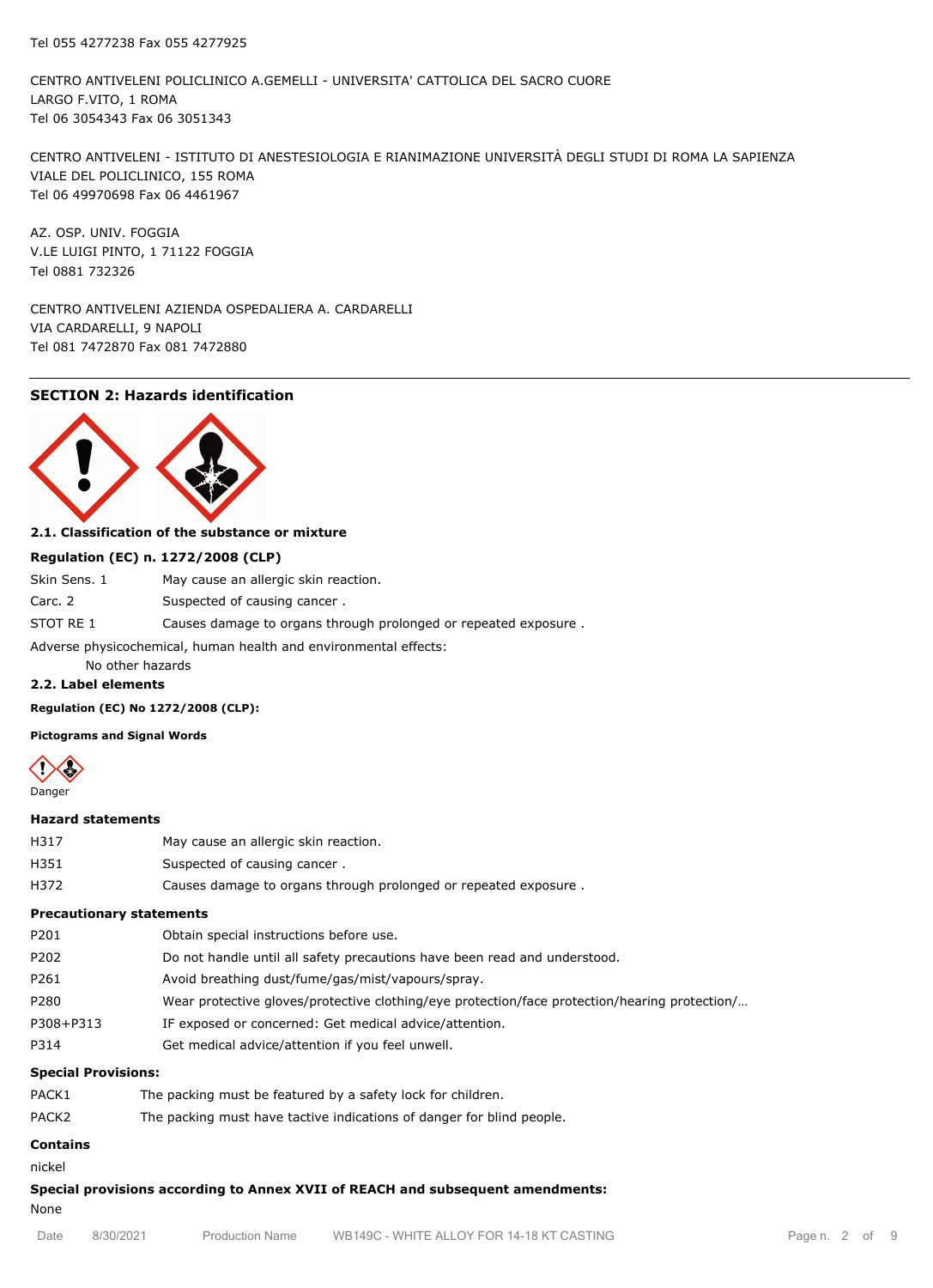CENTRO ANTIVELENI POLICLINICO A.GEMELLI - UNIVERSITA' CATTOLICA DEL SACRO CUORE LARGO F.VITO, 1 ROMA Tel 06 3054343 Fax 06 3051343

CENTRO ANTIVELENI - ISTITUTO DI ANESTESIOLOGIA E RIANIMAZIONE UNIVERSITÀ DEGLI STUDI DI ROMA LA SAPIENZA VIALE DEL POLICLINICO, 155 ROMA Tel 06 49970698 Fax 06 4461967

AZ. OSP. UNIV. FOGGIA V.LE LUIGI PINTO, 1 71122 FOGGIA Tel 0881 732326

CENTRO ANTIVELENI AZIENDA OSPEDALIERA A. CARDARELLI VIA CARDARELLI, 9 NAPOLI Tel 081 7472870 Fax 081 7472880

#### **SECTION 2: Hazards identification**



#### **2.1. Classification of the substance or mixture**

#### **Regulation (EC) n. 1272/2008 (CLP)**

| Skin Sens. 1                                                     | May cause an allergic skin reaction.                            |  |  |  |  |
|------------------------------------------------------------------|-----------------------------------------------------------------|--|--|--|--|
| Carc. 2                                                          | Suspected of causing cancer.                                    |  |  |  |  |
| STOT RE 1                                                        | Causes damage to organs through prolonged or repeated exposure. |  |  |  |  |
| Adverse physicochemical, human health and environmental effects: |                                                                 |  |  |  |  |

No other hazards

#### **2.2. Label elements**

**Regulation (EC) No 1272/2008 (CLP):**

**Pictograms and Signal Words**



#### **Hazard statements**

| H317 | May cause an allergic skin reaction.                            |
|------|-----------------------------------------------------------------|
| H351 | Suspected of causing cancer.                                    |
| H372 | Causes damage to organs through prolonged or repeated exposure. |

# **Precautionary statements**

| P201      | Obtain special instructions before use.                                                       |
|-----------|-----------------------------------------------------------------------------------------------|
| P202      | Do not handle until all safety precautions have been read and understood.                     |
| P261      | Avoid breathing dust/fume/gas/mist/vapours/spray.                                             |
| P280      | Wear protective gloves/protective clothing/eye protection/face protection/hearing protection/ |
| P308+P313 | IF exposed or concerned: Get medical advice/attention.                                        |
| P314      | Get medical advice/attention if you feel unwell.                                              |
|           |                                                                                               |

#### **Special Provisions:**

| PACK1             | The packing must be featured by a safety lock for children.           |
|-------------------|-----------------------------------------------------------------------|
| PACK <sub>2</sub> | The packing must have tactive indications of danger for blind people. |

# **Contains**

nickel

**Special provisions according to Annex XVII of REACH and subsequent amendments:** None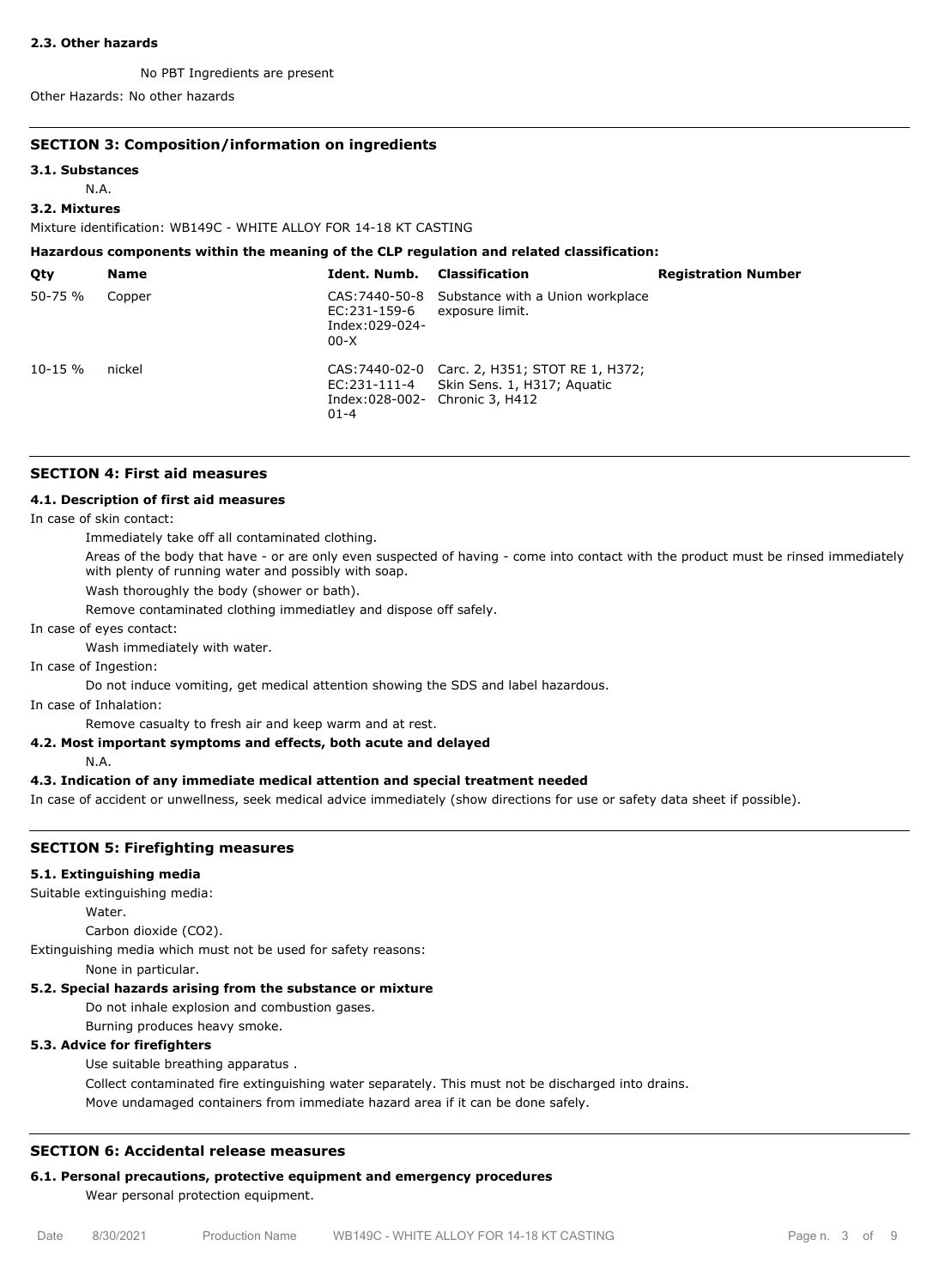#### **2.3. Other hazards**

No PBT Ingredients are present

Other Hazards: No other hazards

#### **SECTION 3: Composition/information on ingredients**

#### **3.1. Substances**

N.A.

#### **3.2. Mixtures**

Mixture identification: WB149C - WHITE ALLOY FOR 14-18 KT CASTING

| Hazardous components within the meaning of the CLP regulation and related classification: |             |                                          |                                                                                                                 |                            |  |  |  |
|-------------------------------------------------------------------------------------------|-------------|------------------------------------------|-----------------------------------------------------------------------------------------------------------------|----------------------------|--|--|--|
| Qty                                                                                       | <b>Name</b> | Ident. Numb.                             | <b>Classification</b>                                                                                           | <b>Registration Number</b> |  |  |  |
| $50 - 75 %$                                                                               | Copper      | EC:231-159-6<br>Index:029-024-<br>$00-X$ | CAS: 7440-50-8 Substance with a Union workplace<br>exposure limit.                                              |                            |  |  |  |
| $10 - 15 \%$                                                                              | nickel      | EC:231-111-4<br>$01 - 4$                 | CAS: 7440-02-0 Carc. 2, H351; STOT RE 1, H372;<br>Skin Sens. 1, H317; Aguatic<br>Index:028-002- Chronic 3, H412 |                            |  |  |  |

#### **SECTION 4: First aid measures**

#### **4.1. Description of first aid measures**

In case of skin contact:

Immediately take off all contaminated clothing.

Areas of the body that have - or are only even suspected of having - come into contact with the product must be rinsed immediately with plenty of running water and possibly with soap.

Wash thoroughly the body (shower or bath).

Remove contaminated clothing immediatley and dispose off safely.

In case of eyes contact:

Wash immediately with water.

In case of Ingestion:

Do not induce vomiting, get medical attention showing the SDS and label hazardous.

In case of Inhalation:

Remove casualty to fresh air and keep warm and at rest.

#### **4.2. Most important symptoms and effects, both acute and delayed**

N.A.

#### **4.3. Indication of any immediate medical attention and special treatment needed**

In case of accident or unwellness, seek medical advice immediately (show directions for use or safety data sheet if possible).

#### **SECTION 5: Firefighting measures**

#### **5.1. Extinguishing media**

Suitable extinguishing media:

Water.

Carbon dioxide (CO2).

Extinguishing media which must not be used for safety reasons:

None in particular.

# **5.2. Special hazards arising from the substance or mixture**

Do not inhale explosion and combustion gases.

Burning produces heavy smoke.

# **5.3. Advice for firefighters**

Use suitable breathing apparatus .

Collect contaminated fire extinguishing water separately. This must not be discharged into drains. Move undamaged containers from immediate hazard area if it can be done safely.

# **SECTION 6: Accidental release measures**

# **6.1. Personal precautions, protective equipment and emergency procedures**

Wear personal protection equipment.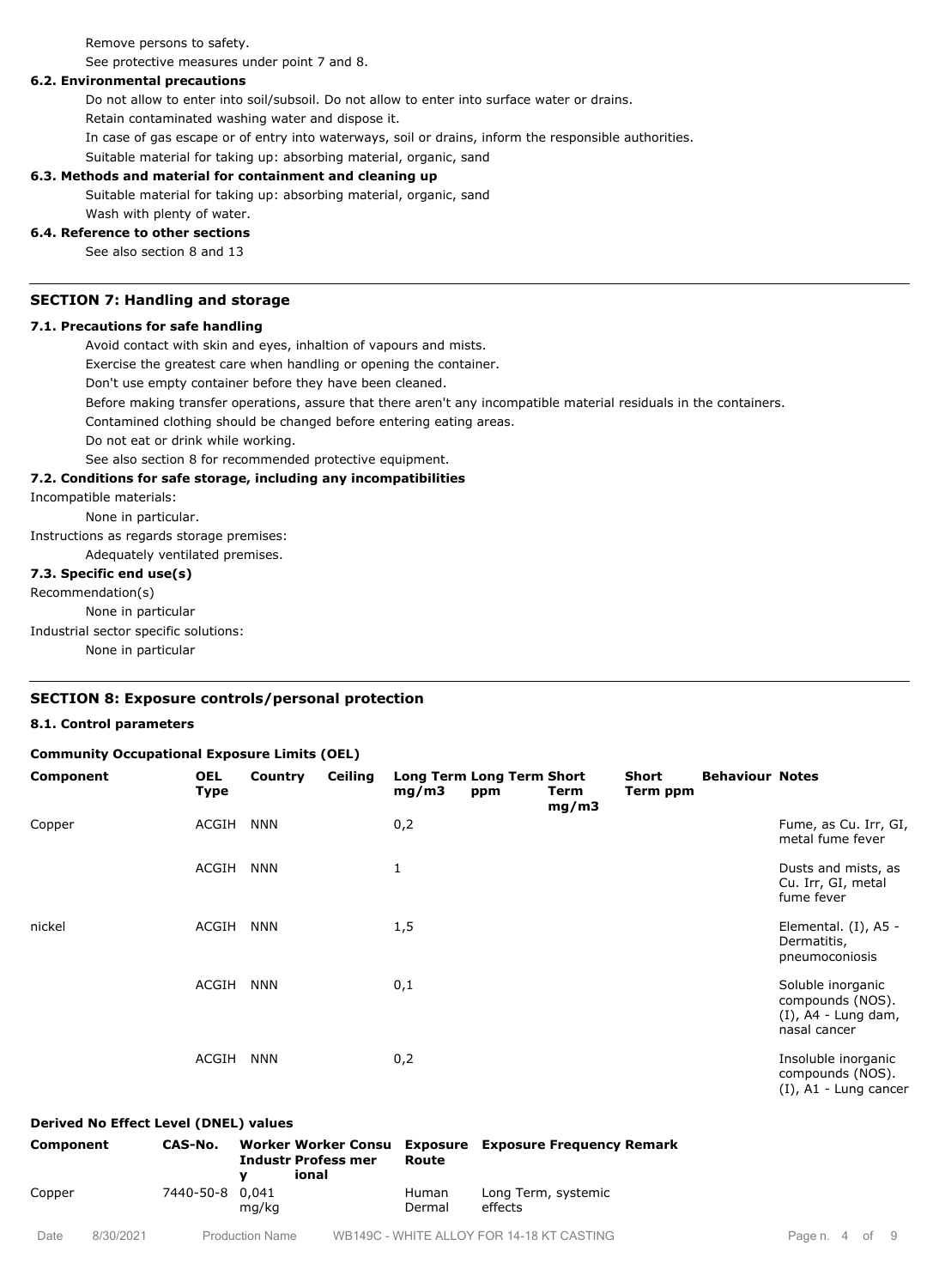Remove persons to safety.

See protective measures under point 7 and 8.

#### **6.2. Environmental precautions**

Do not allow to enter into soil/subsoil. Do not allow to enter into surface water or drains.

Retain contaminated washing water and dispose it.

In case of gas escape or of entry into waterways, soil or drains, inform the responsible authorities.

Suitable material for taking up: absorbing material, organic, sand

#### **6.3. Methods and material for containment and cleaning up**

Suitable material for taking up: absorbing material, organic, sand

# Wash with plenty of water.

#### **6.4. Reference to other sections**

See also section 8 and 13

#### **SECTION 7: Handling and storage**

#### **7.1. Precautions for safe handling**

Avoid contact with skin and eyes, inhaltion of vapours and mists.

Exercise the greatest care when handling or opening the container.

Don't use empty container before they have been cleaned.

Before making transfer operations, assure that there aren't any incompatible material residuals in the containers.

Contamined clothing should be changed before entering eating areas.

Do not eat or drink while working.

See also section 8 for recommended protective equipment.

#### **7.2. Conditions for safe storage, including any incompatibilities**

Incompatible materials:

None in particular.

Instructions as regards storage premises:

Adequately ventilated premises.

#### **7.3. Specific end use(s)**

Recommendation(s)

None in particular

Industrial sector specific solutions:

None in particular

#### **SECTION 8: Exposure controls/personal protection**

#### **8.1. Control parameters**

| <b>Community Occupational Exposure Limits (OEL)</b> |                           |            |                |       |                                         |               |                   |                        |                                                                                 |
|-----------------------------------------------------|---------------------------|------------|----------------|-------|-----------------------------------------|---------------|-------------------|------------------------|---------------------------------------------------------------------------------|
| Component                                           | <b>OEL</b><br><b>Type</b> | Country    | <b>Ceiling</b> | mg/m3 | <b>Long Term Long Term Short</b><br>ppm | Term<br>mg/m3 | Short<br>Term ppm | <b>Behaviour Notes</b> |                                                                                 |
| Copper                                              | ACGIH                     | <b>NNN</b> |                | 0,2   |                                         |               |                   |                        | Fume, as Cu. Irr, GI,<br>metal fume fever                                       |
|                                                     | ACGIH                     | <b>NNN</b> |                | 1     |                                         |               |                   |                        | Dusts and mists, as<br>Cu. Irr, GI, metal<br>fume fever                         |
| nickel                                              | ACGIH                     | <b>NNN</b> |                | 1,5   |                                         |               |                   |                        | Elemental. (I), A5 -<br>Dermatitis,<br>pneumoconiosis                           |
|                                                     | ACGIH                     | <b>NNN</b> |                | 0,1   |                                         |               |                   |                        | Soluble inorganic<br>compounds (NOS).<br>$(I)$ , A4 - Lung dam,<br>nasal cancer |
|                                                     | ACGIH                     | NNN        |                | 0,2   |                                         |               |                   |                        | Insoluble inorganic<br>compounds (NOS).                                         |

#### **Derived No Effect Level (DNEL) values**

| Component | CAS-No.         | <b>Industr Profess mer</b><br>ional | Route                  | Worker Worker Consu Exposure Exposure Frequency Remark |
|-----------|-----------------|-------------------------------------|------------------------|--------------------------------------------------------|
| Copper    | 7440-50-8 0,041 | ma/ka                               | <b>Human</b><br>Dermal | Long Term, systemic<br>effects                         |

(I), A1 - Lung cancer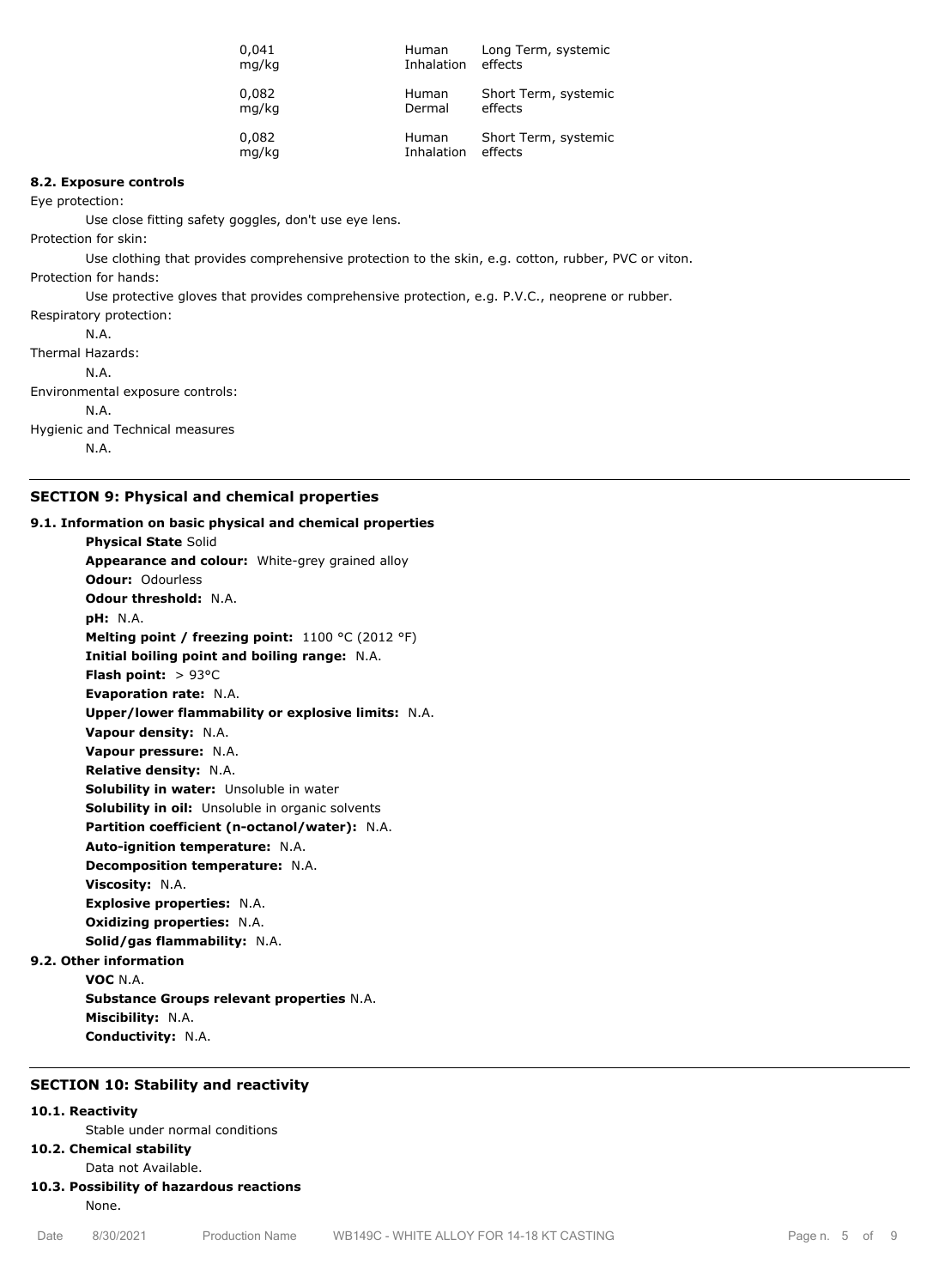| 0,041 | Human        | Long Term, systemic  |
|-------|--------------|----------------------|
| mg/kg | Inhalation   | effects              |
| 0,082 | Human        | Short Term, systemic |
| mg/kg | Dermal       | effects              |
| 0,082 | <b>Human</b> | Short Term, systemic |
| mg/kg | Inhalation   | effects              |

#### **8.2. Exposure controls**

Eye protection:

Use close fitting safety goggles, don't use eye lens.

Protection for skin:

Use clothing that provides comprehensive protection to the skin, e.g. cotton, rubber, PVC or viton. Protection for hands:

Use protective gloves that provides comprehensive protection, e.g. P.V.C., neoprene or rubber.

Respiratory protection: N.A. Thermal Hazards: N.A. Environmental exposure controls: N.A. Hygienic and Technical measures N.A.

# **SECTION 9: Physical and chemical properties**

**9.1. Information on basic physical and chemical properties Physical State** Solid **Appearance and colour:** White-grey grained alloy **Odour:** Odourless **Odour threshold:** N.A. **pH:** N.A. **Melting point / freezing point:** 1100 °C (2012 °F) **Initial boiling point and boiling range:** N.A. **Flash point:** > 93°C **Evaporation rate:** N.A. **Upper/lower flammability or explosive limits:** N.A. **Vapour density:** N.A. **Vapour pressure:** N.A. **Relative density:** N.A. **Solubility in water:** Unsoluble in water **Solubility in oil:** Unsoluble in organic solvents **Partition coefficient (n-octanol/water):** N.A. **Auto-ignition temperature:** N.A. **Decomposition temperature:** N.A. **Viscosity:** N.A. **Explosive properties:** N.A. **Oxidizing properties:** N.A. **Solid/gas flammability:** N.A.

# **9.2. Other information**

**VOC** N.A. **Substance Groups relevant properties** N.A. **Miscibility:** N.A. **Conductivity:** N.A.

#### **SECTION 10: Stability and reactivity**

#### **10.1. Reactivity**

Stable under normal conditions

#### **10.2. Chemical stability**

Data not Available.

# **10.3. Possibility of hazardous reactions**

None.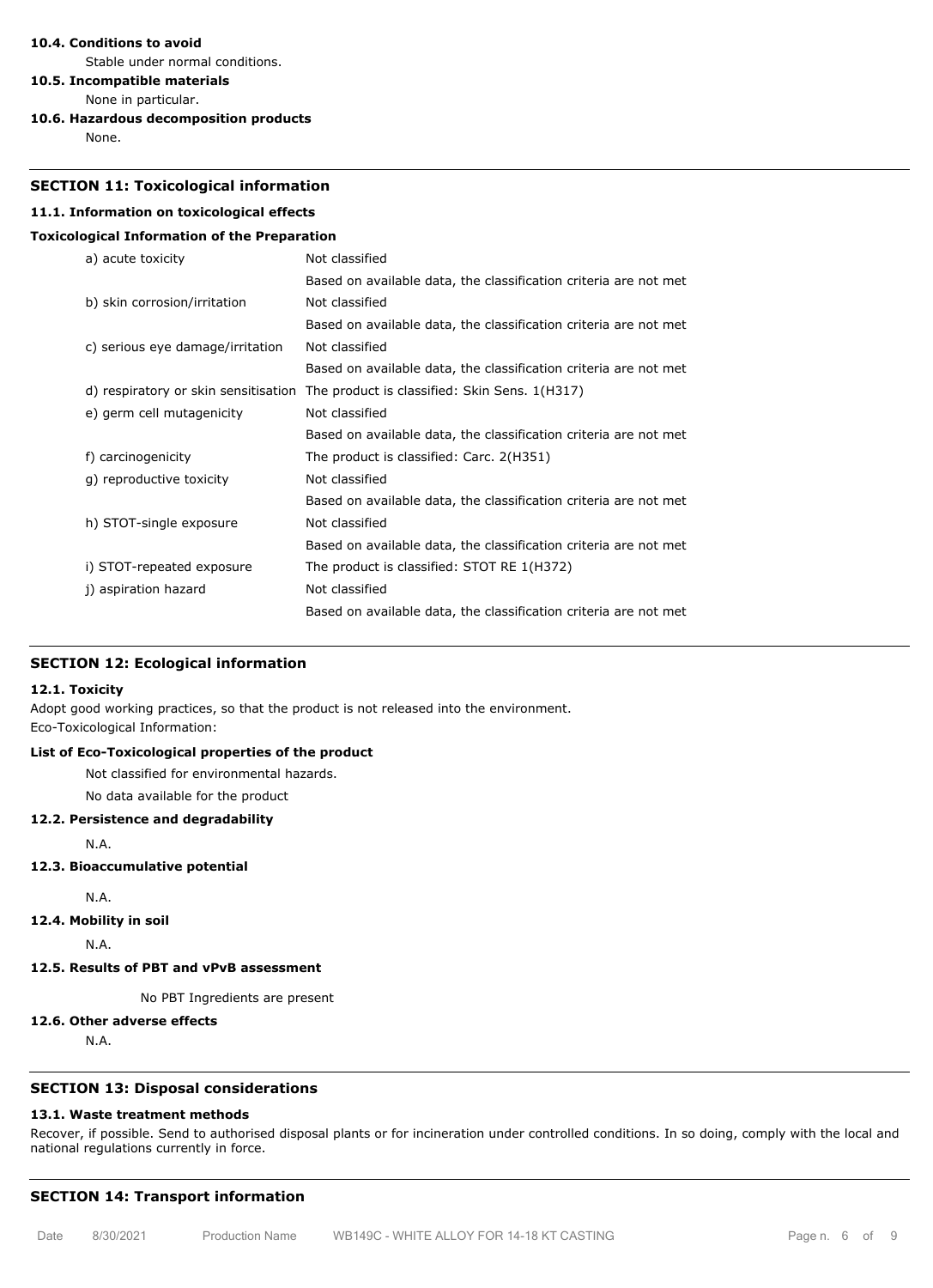#### **10.4. Conditions to avoid**

Stable under normal conditions.

**10.5. Incompatible materials**

- None in particular.
- **10.6. Hazardous decomposition products**

None.

#### **SECTION 11: Toxicological information**

# **11.1. Information on toxicological effects**

#### **Toxicological Information of the Preparation**

| a) acute toxicity                    | Not classified                                                   |
|--------------------------------------|------------------------------------------------------------------|
|                                      | Based on available data, the classification criteria are not met |
| b) skin corrosion/irritation         | Not classified                                                   |
|                                      | Based on available data, the classification criteria are not met |
| c) serious eye damage/irritation     | Not classified                                                   |
|                                      | Based on available data, the classification criteria are not met |
| d) respiratory or skin sensitisation | The product is classified: Skin Sens. 1(H317)                    |
| e) germ cell mutagenicity            | Not classified                                                   |
|                                      | Based on available data, the classification criteria are not met |
| f) carcinogenicity                   | The product is classified: Carc. 2(H351)                         |
| q) reproductive toxicity             | Not classified                                                   |
|                                      | Based on available data, the classification criteria are not met |
| h) STOT-single exposure              | Not classified                                                   |
|                                      | Based on available data, the classification criteria are not met |
| i) STOT-repeated exposure            | The product is classified: STOT RE 1(H372)                       |
| j) aspiration hazard                 | Not classified                                                   |
|                                      | Based on available data, the classification criteria are not met |

#### **SECTION 12: Ecological information**

#### **12.1. Toxicity**

Adopt good working practices, so that the product is not released into the environment. Eco-Toxicological Information:

#### **List of Eco-Toxicological properties of the product**

Not classified for environmental hazards.

No data available for the product

#### **12.2. Persistence and degradability**

N.A.

#### **12.3. Bioaccumulative potential**

N.A.

**12.4. Mobility in soil**

N.A.

## **12.5. Results of PBT and vPvB assessment**

No PBT Ingredients are present

#### **12.6. Other adverse effects**

N.A.

# **SECTION 13: Disposal considerations**

#### **13.1. Waste treatment methods**

Recover, if possible. Send to authorised disposal plants or for incineration under controlled conditions. In so doing, comply with the local and national regulations currently in force.

#### **SECTION 14: Transport information**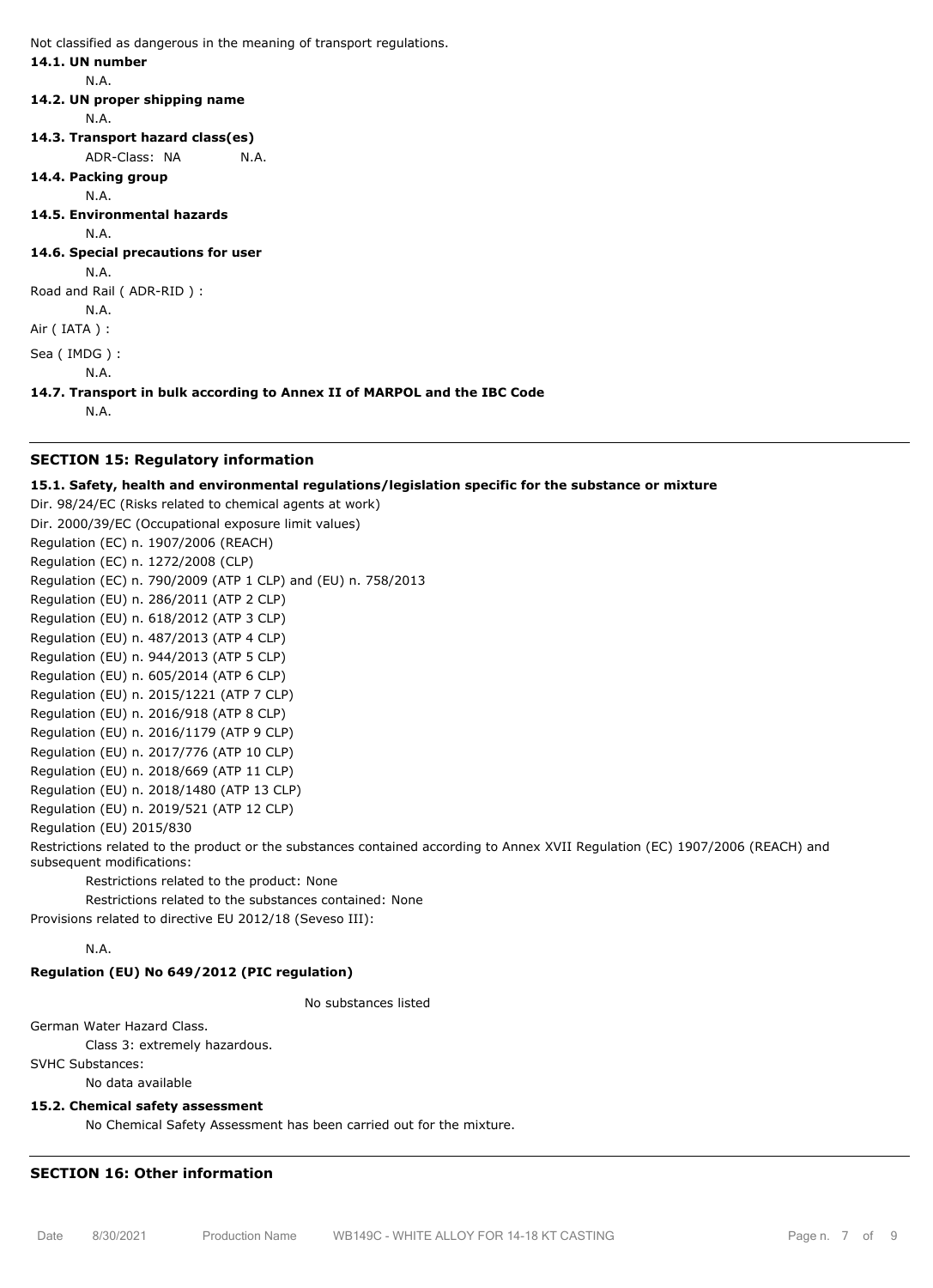Not classified as dangerous in the meaning of transport regulations.

#### **14.1. UN number**

N.A.

#### **14.2. UN proper shipping name**

N.A.

- **14.3. Transport hazard class(es)**
	- ADR-Class: NA N.A.
- **14.4. Packing group**

N.A.

**14.5. Environmental hazards**

N.A.

**14.6. Special precautions for user**

N.A. Road and Rail ( ADR-RID ) :

N.A.

Air ( IATA ) :

Sea ( IMDG ) :

**14.7. Transport in bulk according to Annex II of MARPOL and the IBC Code**

N.A.

N.A.

#### **SECTION 15: Regulatory information**

#### **15.1. Safety, health and environmental regulations/legislation specific for the substance or mixture**

Dir. 98/24/EC (Risks related to chemical agents at work) Dir. 2000/39/EC (Occupational exposure limit values) Regulation (EC) n. 1907/2006 (REACH) Regulation (EC) n. 1272/2008 (CLP) Regulation (EC) n. 790/2009 (ATP 1 CLP) and (EU) n. 758/2013 Regulation (EU) n. 286/2011 (ATP 2 CLP) Regulation (EU) n. 618/2012 (ATP 3 CLP) Regulation (EU) n. 487/2013 (ATP 4 CLP) Regulation (EU) n. 944/2013 (ATP 5 CLP) Regulation (EU) n. 605/2014 (ATP 6 CLP) Regulation (EU) n. 2015/1221 (ATP 7 CLP) Regulation (EU) n. 2016/918 (ATP 8 CLP) Regulation (EU) n. 2016/1179 (ATP 9 CLP) Regulation (EU) n. 2017/776 (ATP 10 CLP) Regulation (EU) n. 2018/669 (ATP 11 CLP) Regulation (EU) n. 2018/1480 (ATP 13 CLP) Regulation (EU) n. 2019/521 (ATP 12 CLP) Regulation (EU) 2015/830

Restrictions related to the product or the substances contained according to Annex XVII Regulation (EC) 1907/2006 (REACH) and subsequent modifications:

Restrictions related to the product: None

Restrictions related to the substances contained: None

Provisions related to directive EU 2012/18 (Seveso III):

#### N.A.

# **Regulation (EU) No 649/2012 (PIC regulation)**

No substances listed

German Water Hazard Class.

Class 3: extremely hazardous.

SVHC Substances:

No data available

# **15.2. Chemical safety assessment**

No Chemical Safety Assessment has been carried out for the mixture.

# **SECTION 16: Other information**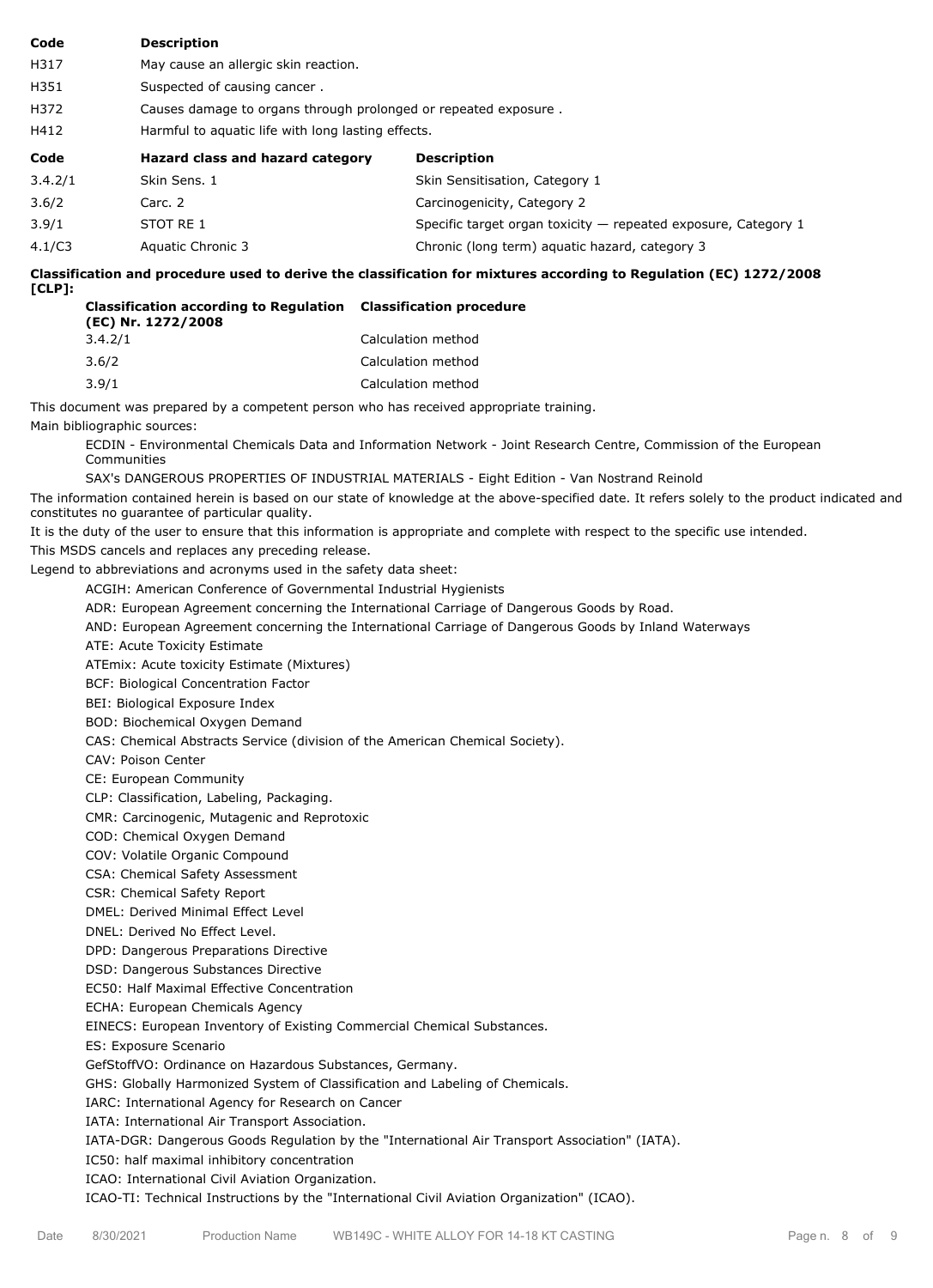| Code    | <b>Description</b>                   |                                                                  |  |  |  |  |
|---------|--------------------------------------|------------------------------------------------------------------|--|--|--|--|
| H317    | May cause an allergic skin reaction. |                                                                  |  |  |  |  |
| H351    | Suspected of causing cancer.         |                                                                  |  |  |  |  |
| H372    |                                      | Causes damage to organs through prolonged or repeated exposure.  |  |  |  |  |
| H412    |                                      | Harmful to aquatic life with long lasting effects.               |  |  |  |  |
|         |                                      |                                                                  |  |  |  |  |
| Code    | Hazard class and hazard category     | <b>Description</b>                                               |  |  |  |  |
| 3.4.2/1 | Skin Sens. 1                         | Skin Sensitisation, Category 1                                   |  |  |  |  |
| 3.6/2   | Carc. 2                              | Carcinogenicity, Category 2                                      |  |  |  |  |
| 3.9/1   | STOT RE 1                            | Specific target organ toxicity $-$ repeated exposure, Category 1 |  |  |  |  |

**Classification and procedure used to derive the classification for mixtures according to Regulation (EC) 1272/2008 [CLP]:**

| <b>Classification according to Regulation Classification procedure</b><br>(EC) Nr. 1272/2008 |                    |  |  |
|----------------------------------------------------------------------------------------------|--------------------|--|--|
| 3.4.2/1                                                                                      | Calculation method |  |  |
| 3.6/2                                                                                        | Calculation method |  |  |
| 3.9/1                                                                                        | Calculation method |  |  |

This document was prepared by a competent person who has received appropriate training. Main bibliographic sources:

ECDIN - Environmental Chemicals Data and Information Network - Joint Research Centre, Commission of the European Communities

SAX's DANGEROUS PROPERTIES OF INDUSTRIAL MATERIALS - Eight Edition - Van Nostrand Reinold

The information contained herein is based on our state of knowledge at the above-specified date. It refers solely to the product indicated and constitutes no guarantee of particular quality.

It is the duty of the user to ensure that this information is appropriate and complete with respect to the specific use intended.

This MSDS cancels and replaces any preceding release.

Legend to abbreviations and acronyms used in the safety data sheet:

ACGIH: American Conference of Governmental Industrial Hygienists

ADR: European Agreement concerning the International Carriage of Dangerous Goods by Road.

AND: European Agreement concerning the International Carriage of Dangerous Goods by Inland Waterways

ATE: Acute Toxicity Estimate

ATEmix: Acute toxicity Estimate (Mixtures)

BCF: Biological Concentration Factor

BEI: Biological Exposure Index

BOD: Biochemical Oxygen Demand

CAS: Chemical Abstracts Service (division of the American Chemical Society).

CAV: Poison Center

CE: European Community

CLP: Classification, Labeling, Packaging.

CMR: Carcinogenic, Mutagenic and Reprotoxic

COD: Chemical Oxygen Demand

COV: Volatile Organic Compound

CSA: Chemical Safety Assessment

CSR: Chemical Safety Report

DMEL: Derived Minimal Effect Level

DNEL: Derived No Effect Level.

DPD: Dangerous Preparations Directive

DSD: Dangerous Substances Directive

EC50: Half Maximal Effective Concentration

ECHA: European Chemicals Agency

EINECS: European Inventory of Existing Commercial Chemical Substances.

ES: Exposure Scenario

GefStoffVO: Ordinance on Hazardous Substances, Germany.

GHS: Globally Harmonized System of Classification and Labeling of Chemicals.

IARC: International Agency for Research on Cancer

IATA: International Air Transport Association.

IATA-DGR: Dangerous Goods Regulation by the "International Air Transport Association" (IATA).

IC50: half maximal inhibitory concentration

ICAO: International Civil Aviation Organization.

ICAO-TI: Technical Instructions by the "International Civil Aviation Organization" (ICAO).